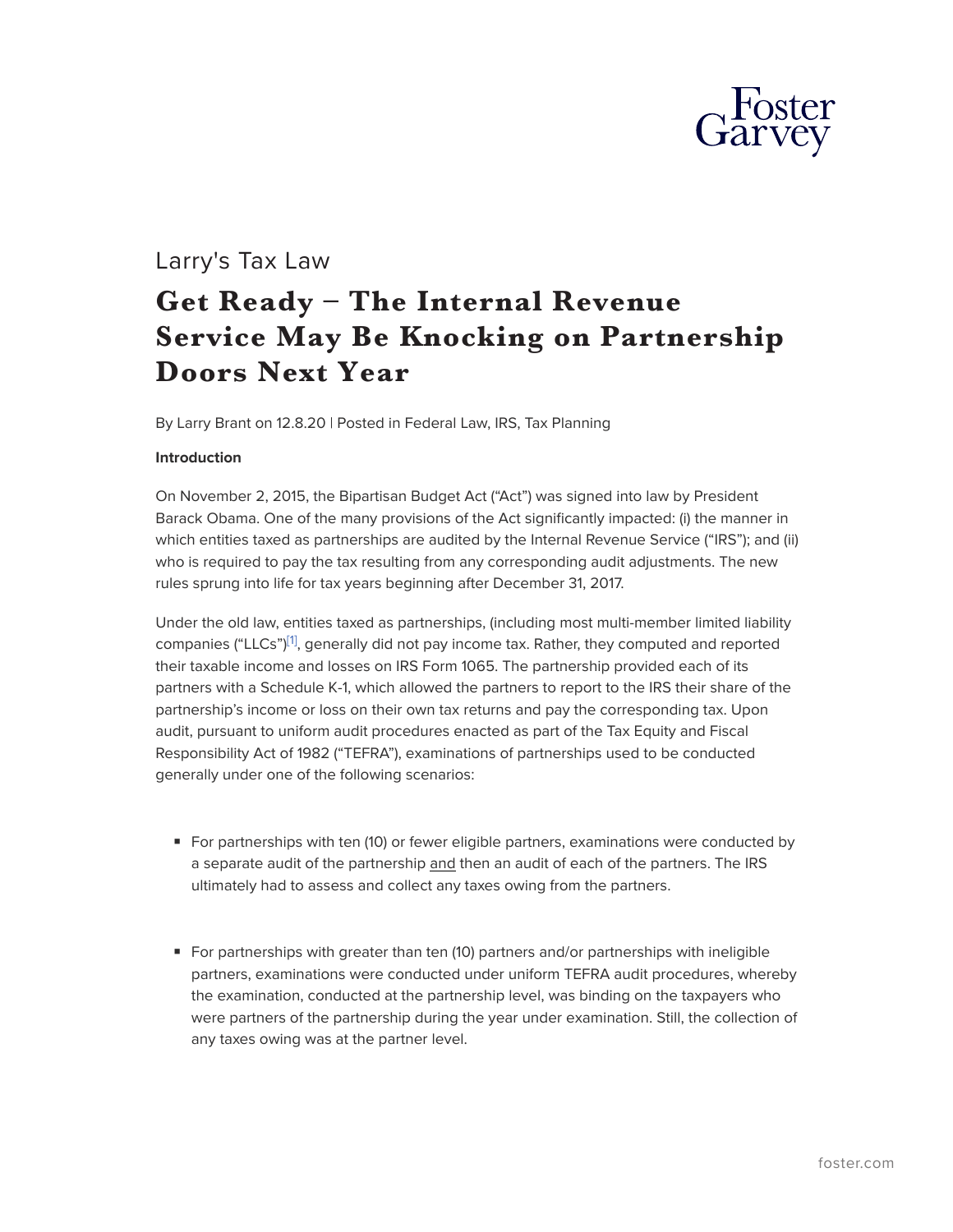

## Larry's Tax Law

# **Get Ready – The Internal Revenue Service May Be Knocking on Partnership Doors Next Year**

By Larry Brant on 12.8.20 | Posted in Federal Law, IRS, Tax Planning

#### **Introduction**

On November 2, 2015, the Bipartisan Budget Act ("Act") was signed into law by President Barack Obama. One of the many provisions of the Act significantly impacted: (i) the manner in which entities taxed as partnerships are audited by the Internal Revenue Service ("IRS"); and (ii) who is required to pay the tax resulting from any corresponding audit adjustments. The new rules sprung into life for tax years beginning after December 31, 2017.

Under the old law, entities taxed as partnerships, (including most multi-member limited liability companies ("LLCs")[\[1\]](#_ftn1), generally did not pay income tax. Rather, they computed and reported their taxable income and losses on IRS Form 1065. The partnership provided each of its partners with a Schedule K-1, which allowed the partners to report to the IRS their share of the partnership's income or loss on their own tax returns and pay the corresponding tax. Upon audit, pursuant to uniform audit procedures enacted as part of the Tax Equity and Fiscal Responsibility Act of 1982 ("TEFRA"), examinations of partnerships used to be conducted generally under one of the following scenarios:

- For partnerships with ten (10) or fewer eligible partners, examinations were conducted by a separate audit of the partnership and then an audit of each of the partners. The IRS ultimately had to assess and collect any taxes owing from the partners.
- For partnerships with greater than ten (10) partners and/or partnerships with ineligible partners, examinations were conducted under uniform TEFRA audit procedures, whereby the examination, conducted at the partnership level, was binding on the taxpayers who were partners of the partnership during the year under examination. Still, the collection of any taxes owing was at the partner level.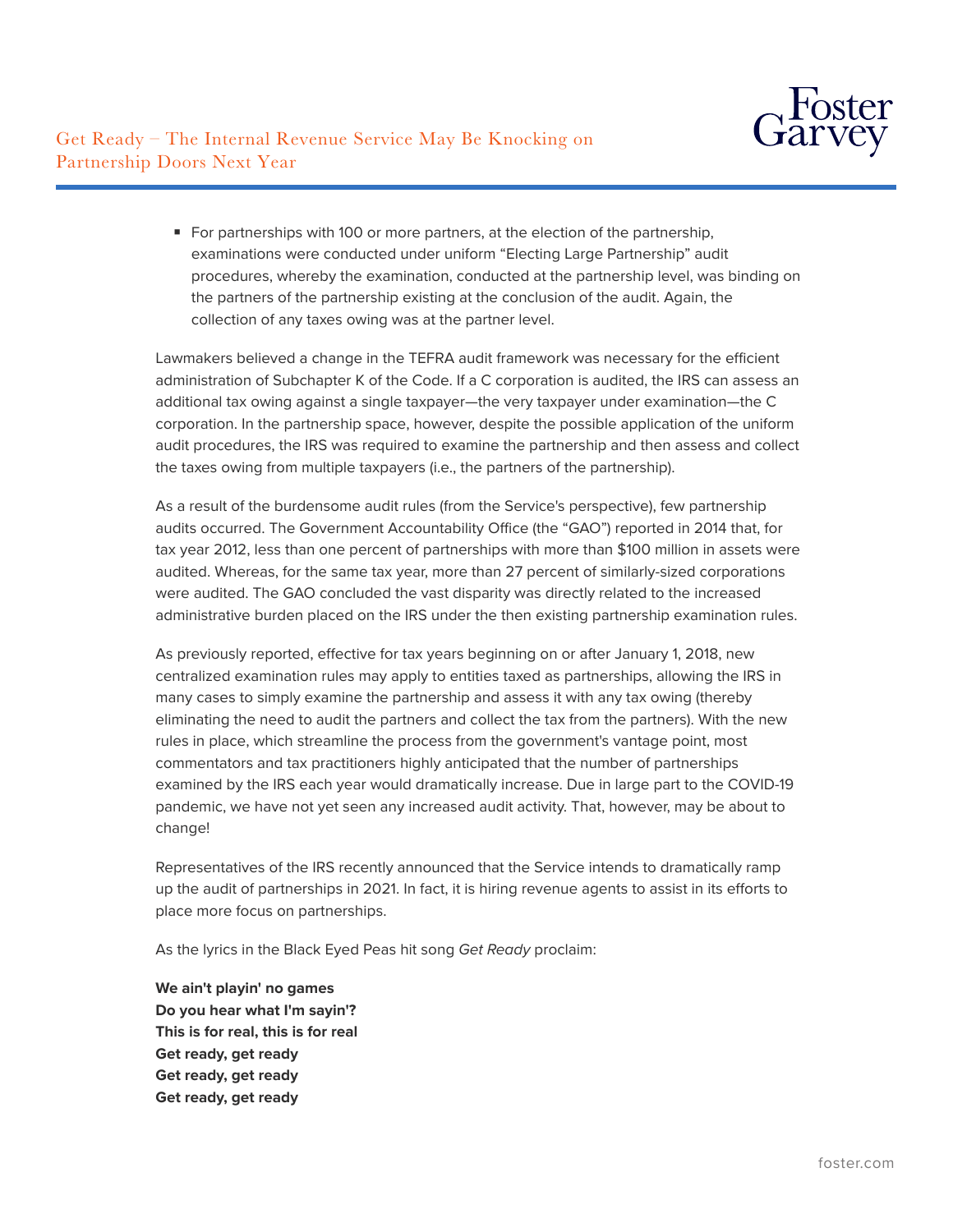

■ For partnerships with 100 or more partners, at the election of the partnership, examinations were conducted under uniform "Electing Large Partnership" audit procedures, whereby the examination, conducted at the partnership level, was binding on the partners of the partnership existing at the conclusion of the audit. Again, the collection of any taxes owing was at the partner level.

Lawmakers believed a change in the TEFRA audit framework was necessary for the efficient administration of Subchapter K of the Code. If a C corporation is audited, the IRS can assess an additional tax owing against a single taxpayer—the very taxpayer under examination—the C corporation. In the partnership space, however, despite the possible application of the uniform audit procedures, the IRS was required to examine the partnership and then assess and collect the taxes owing from multiple taxpayers (i.e., the partners of the partnership).

As a result of the burdensome audit rules (from the Service's perspective), few partnership audits occurred. The Government Accountability Office (the "GAO") reported in 2014 that, for tax year 2012, less than one percent of partnerships with more than \$100 million in assets were audited. Whereas, for the same tax year, more than 27 percent of similarly-sized corporations were audited. The GAO concluded the vast disparity was directly related to the increased administrative burden placed on the IRS under the then existing partnership examination rules.

As previously reported, effective for tax years beginning on or after January 1, 2018, new centralized examination rules may apply to entities taxed as partnerships, allowing the IRS in many cases to simply examine the partnership and assess it with any tax owing (thereby eliminating the need to audit the partners and collect the tax from the partners). With the new rules in place, which streamline the process from the government's vantage point, most commentators and tax practitioners highly anticipated that the number of partnerships examined by the IRS each year would dramatically increase. Due in large part to the COVID-19 pandemic, we have not yet seen any increased audit activity. That, however, may be about to change!

Representatives of the IRS recently announced that the Service intends to dramatically ramp up the audit of partnerships in 2021. In fact, it is hiring revenue agents to assist in its efforts to place more focus on partnerships.

As the lyrics in the Black Eyed Peas hit song *Get Ready* proclaim:

**We ain't playin' no games Do you hear what I'm sayin'? This is for real, this is for real Get ready, get ready Get ready, get ready Get ready, get ready**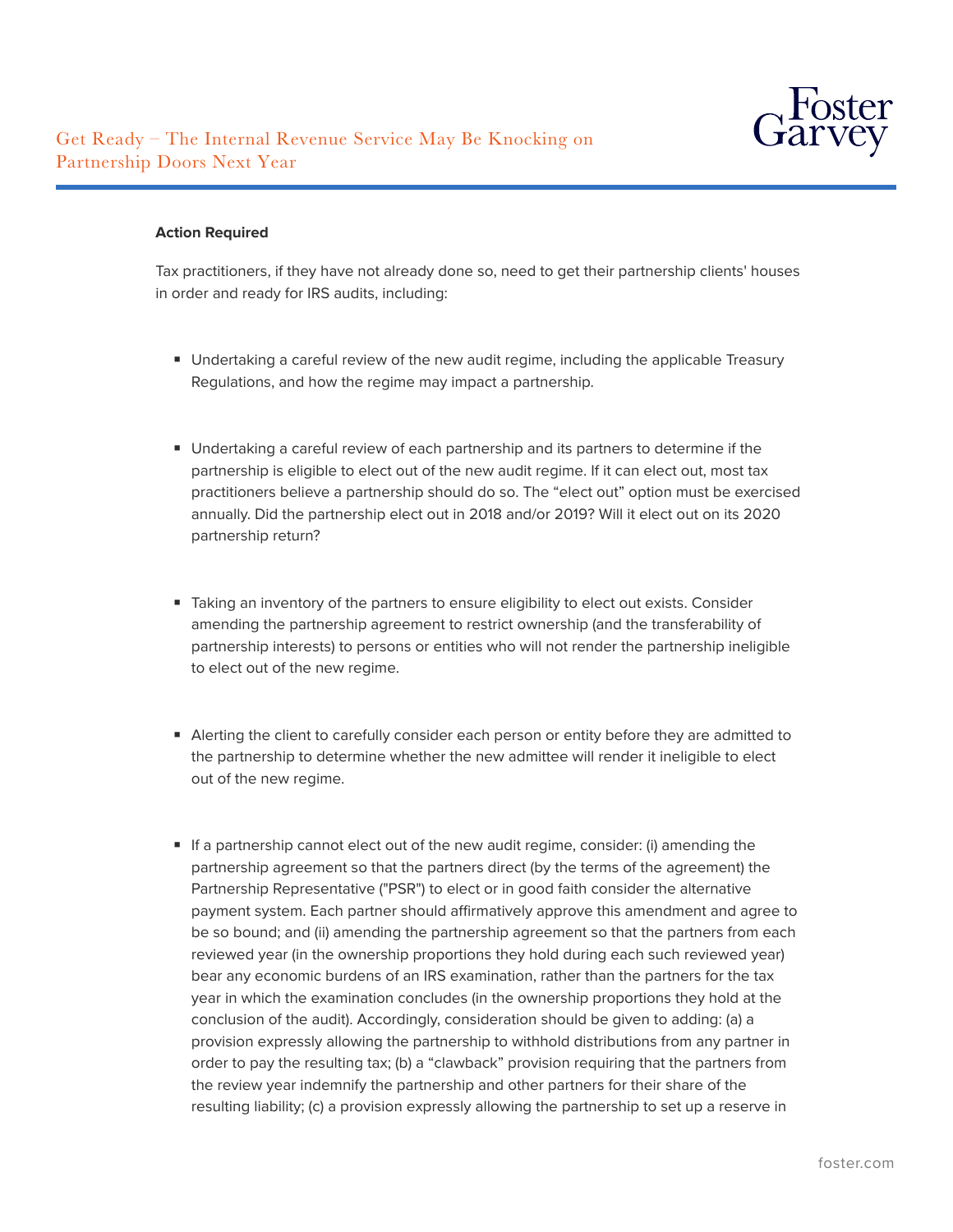

#### **Action Required**

Tax practitioners, if they have not already done so, need to get their partnership clients' houses in order and ready for IRS audits, including:

- Undertaking a careful review of the new audit regime, including the applicable Treasury Regulations, and how the regime may impact a partnership.
- Undertaking a careful review of each partnership and its partners to determine if the partnership is eligible to elect out of the new audit regime. If it can elect out, most tax practitioners believe a partnership should do so. The "elect out" option must be exercised annually. Did the partnership elect out in 2018 and/or 2019? Will it elect out on its 2020 partnership return?
- Taking an inventory of the partners to ensure eligibility to elect out exists. Consider amending the partnership agreement to restrict ownership (and the transferability of partnership interests) to persons or entities who will not render the partnership ineligible to elect out of the new regime.
- Alerting the client to carefully consider each person or entity before they are admitted to the partnership to determine whether the new admittee will render it ineligible to elect out of the new regime.
- If a partnership cannot elect out of the new audit regime, consider: (i) amending the partnership agreement so that the partners direct (by the terms of the agreement) the Partnership Representative ("PSR") to elect or in good faith consider the alternative payment system. Each partner should affirmatively approve this amendment and agree to be so bound; and (ii) amending the partnership agreement so that the partners from each reviewed year (in the ownership proportions they hold during each such reviewed year) bear any economic burdens of an IRS examination, rather than the partners for the tax year in which the examination concludes (in the ownership proportions they hold at the conclusion of the audit). Accordingly, consideration should be given to adding: (a) a provision expressly allowing the partnership to withhold distributions from any partner in order to pay the resulting tax; (b) a "clawback" provision requiring that the partners from the review year indemnify the partnership and other partners for their share of the resulting liability; (c) a provision expressly allowing the partnership to set up a reserve in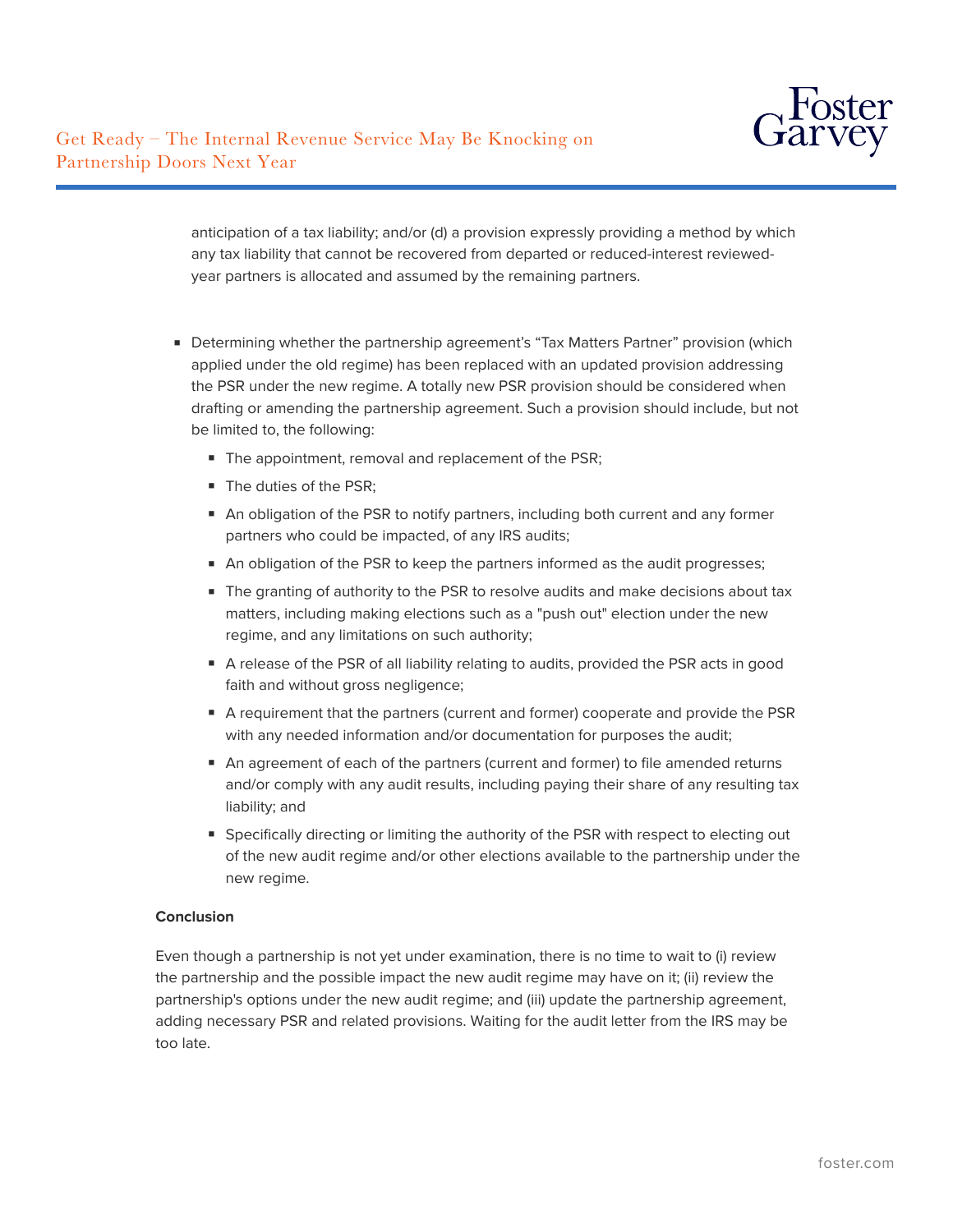anticipation of a tax liability; and/or (d) a provision expressly providing a method by which any tax liability that cannot be recovered from departed or reduced-interest reviewedyear partners is allocated and assumed by the remaining partners.

- Determining whether the partnership agreement's "Tax Matters Partner" provision (which applied under the old regime) has been replaced with an updated provision addressing the PSR under the new regime. A totally new PSR provision should be considered when drafting or amending the partnership agreement. Such a provision should include, but not be limited to, the following:
	- The appointment, removal and replacement of the PSR;
	- The duties of the PSR:
	- An obligation of the PSR to notify partners, including both current and any former partners who could be impacted, of any IRS audits;
	- An obligation of the PSR to keep the partners informed as the audit progresses;
	- The granting of authority to the PSR to resolve audits and make decisions about tax matters, including making elections such as a "push out" election under the new regime, and any limitations on such authority;
	- A release of the PSR of all liability relating to audits, provided the PSR acts in good faith and without gross negligence;
	- A requirement that the partners (current and former) cooperate and provide the PSR with any needed information and/or documentation for purposes the audit;
	- An agreement of each of the partners (current and former) to file amended returns and/or comply with any audit results, including paying their share of any resulting tax liability; and
	- Specifically directing or limiting the authority of the PSR with respect to electing out of the new audit regime and/or other elections available to the partnership under the new regime.

### **Conclusion**

Even though a partnership is not yet under examination, there is no time to wait to (i) review the partnership and the possible impact the new audit regime may have on it; (ii) review the partnership's options under the new audit regime; and (iii) update the partnership agreement, adding necessary PSR and related provisions. Waiting for the audit letter from the IRS may be too late.